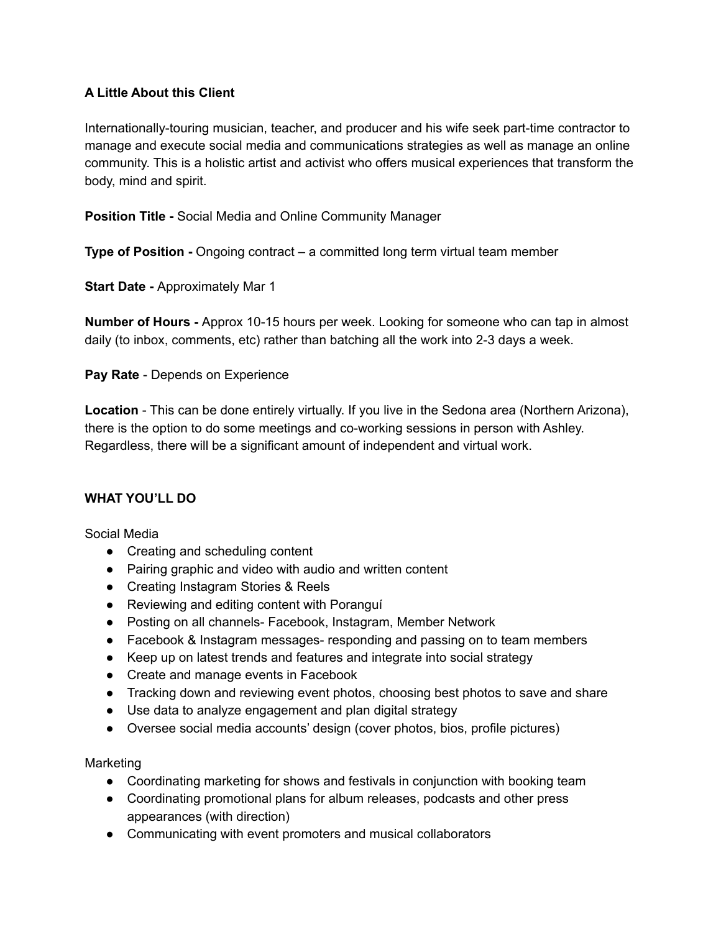# **A Little About this Client**

Internationally-touring musician, teacher, and producer and his wife seek part-time contractor to manage and execute social media and communications strategies as well as manage an online community. This is a holistic artist and activist who offers musical experiences that transform the body, mind and spirit.

**Position Title -** Social Media and Online Community Manager

**Type of Position -** Ongoing contract – a committed long term virtual team member

**Start Date -** Approximately Mar 1

**Number of Hours -** Approx 10-15 hours per week. Looking for someone who can tap in almost daily (to inbox, comments, etc) rather than batching all the work into 2-3 days a week.

**Pay Rate** - Depends on Experience

**Location** - This can be done entirely virtually. If you live in the Sedona area (Northern Arizona), there is the option to do some meetings and co-working sessions in person with Ashley. Regardless, there will be a significant amount of independent and virtual work.

# **WHAT YOU'LL DO**

Social Media

- Creating and scheduling content
- Pairing graphic and video with audio and written content
- Creating Instagram Stories & Reels
- Reviewing and editing content with Poranguí
- Posting on all channels- Facebook, Instagram, Member Network
- Facebook & Instagram messages- responding and passing on to team members
- Keep up on latest trends and features and integrate into social strategy
- Create and manage events in Facebook
- Tracking down and reviewing event photos, choosing best photos to save and share
- Use data to analyze engagement and plan digital strategy
- Oversee social media accounts' design (cover photos, bios, profile pictures)

Marketing

- Coordinating marketing for shows and festivals in conjunction with booking team
- Coordinating promotional plans for album releases, podcasts and other press appearances (with direction)
- Communicating with event promoters and musical collaborators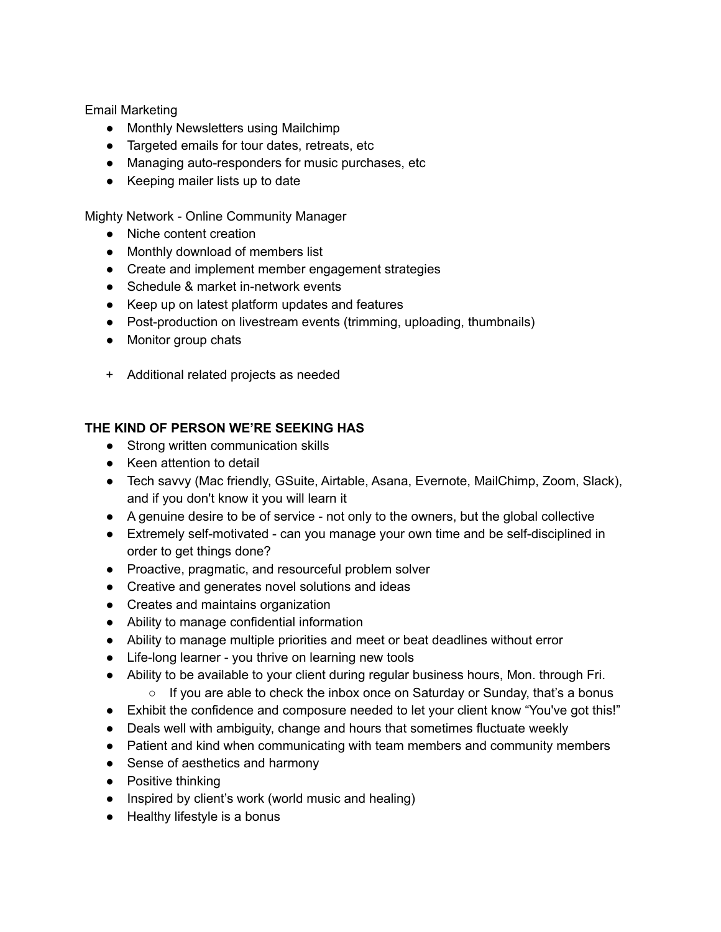Email Marketing

- Monthly Newsletters using Mailchimp
- Targeted emails for tour dates, retreats, etc
- Managing auto-responders for music purchases, etc
- Keeping mailer lists up to date

Mighty Network - Online Community Manager

- Niche content creation
- Monthly download of members list
- Create and implement member engagement strategies
- Schedule & market in-network events
- Keep up on latest platform updates and features
- Post-production on livestream events (trimming, uploading, thumbnails)
- Monitor group chats
- + Additional related projects as needed

# **THE KIND OF PERSON WE'RE SEEKING HAS**

- Strong written communication skills
- Keen attention to detail
- Tech savvy (Mac friendly, GSuite, Airtable, Asana, Evernote, MailChimp, Zoom, Slack), and if you don't know it you will learn it
- A genuine desire to be of service not only to the owners, but the global collective
- Extremely self-motivated can you manage your own time and be self-disciplined in order to get things done?
- Proactive, pragmatic, and resourceful problem solver
- Creative and generates novel solutions and ideas
- Creates and maintains organization
- Ability to manage confidential information
- Ability to manage multiple priorities and meet or beat deadlines without error
- Life-long learner you thrive on learning new tools
- Ability to be available to your client during regular business hours, Mon. through Fri.
	- If you are able to check the inbox once on Saturday or Sunday, that's a bonus
- Exhibit the confidence and composure needed to let your client know "You've got this!"
- Deals well with ambiguity, change and hours that sometimes fluctuate weekly
- Patient and kind when communicating with team members and community members
- Sense of aesthetics and harmony
- Positive thinking
- Inspired by client's work (world music and healing)
- Healthy lifestyle is a bonus